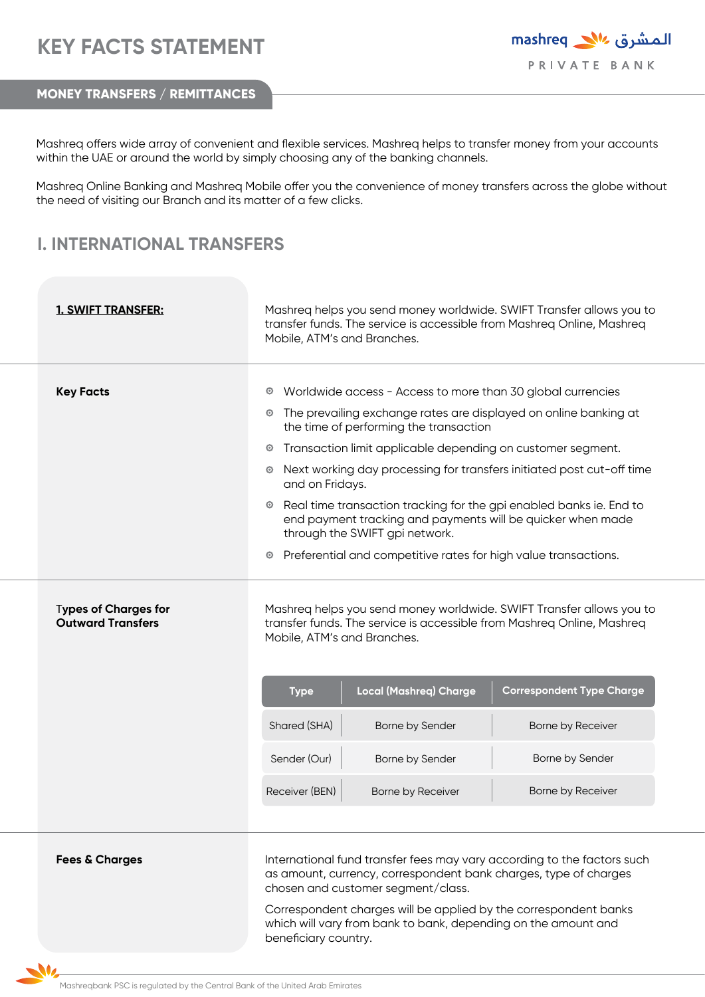## **KEY FACTS STATEMENT**

المشرق 11% mashreq PRIVATE BANK

**MONEY TRANSFERS / REMITTANCES** 

Mashreq offers wide array of convenient and flexible services. Mashreq helps to transfer money from your accounts within the UAE or around the world by simply choosing any of the banking channels.

Mashreq Online Banking and Mashreq Mobile offer you the convenience of money transfers across the globe without the need of visiting our Branch and its matter of a few clicks.

## **I. INTERNATIONAL TRANSFERS**

| 1. SWIFT TRANSFER:                               | Mashreq helps you send money worldwide. SWIFT Transfer allows you to<br>transfer funds. The service is accessible from Mashreq Online, Mashreq<br>Mobile, ATM's and Branches.                                                                                                                                                                                                                                                                                                                                                                                                                                                                    |
|--------------------------------------------------|--------------------------------------------------------------------------------------------------------------------------------------------------------------------------------------------------------------------------------------------------------------------------------------------------------------------------------------------------------------------------------------------------------------------------------------------------------------------------------------------------------------------------------------------------------------------------------------------------------------------------------------------------|
| <b>Key Facts</b>                                 | Worldwide access - Access to more than 30 global currencies<br>$_{\odot}$<br>• The prevailing exchange rates are displayed on online banking at<br>the time of performing the transaction<br>Transaction limit applicable depending on customer segment.<br>$_{\odot}$<br>Next working day processing for transfers initiated post cut-off time<br>$\circ$<br>and on Fridays.<br><sup>o</sup> Real time transaction tracking for the gpi enabled banks ie. End to<br>end payment tracking and payments will be quicker when made<br>through the SWIFT gpi network.<br>Preferential and competitive rates for high value transactions.<br>$\odot$ |
| Types of Charges for<br><b>Outward Transfers</b> | Mashreg helps you send money worldwide. SWIFT Transfer allows you to<br>transfer funds. The service is accessible from Mashreq Online, Mashreq<br>Mobile, ATM's and Branches.<br><b>Local (Mashreq) Charge</b><br><b>Correspondent Type Charge</b><br><b>Type</b>                                                                                                                                                                                                                                                                                                                                                                                |
|                                                  | Shared (SHA)<br>Borne by Sender<br>Borne by Receiver                                                                                                                                                                                                                                                                                                                                                                                                                                                                                                                                                                                             |
|                                                  | Sender (Our)<br>Borne by Sender<br>Borne by Sender                                                                                                                                                                                                                                                                                                                                                                                                                                                                                                                                                                                               |
|                                                  | Receiver (BEN)<br>Borne by Receiver                                                                                                                                                                                                                                                                                                                                                                                                                                                                                                                                                                                                              |
|                                                  | Borne by Receiver                                                                                                                                                                                                                                                                                                                                                                                                                                                                                                                                                                                                                                |
| <b>Fees &amp; Charges</b>                        | International fund transfer fees may vary according to the factors such                                                                                                                                                                                                                                                                                                                                                                                                                                                                                                                                                                          |

as amount, currency, correspondent bank charges, type of charges chosen and customer segment/class.

Correspondent charges will be applied by the correspondent banks which will vary from bank to bank, depending on the amount and beneficiary country.

 $\mathbf{M}_{2}$